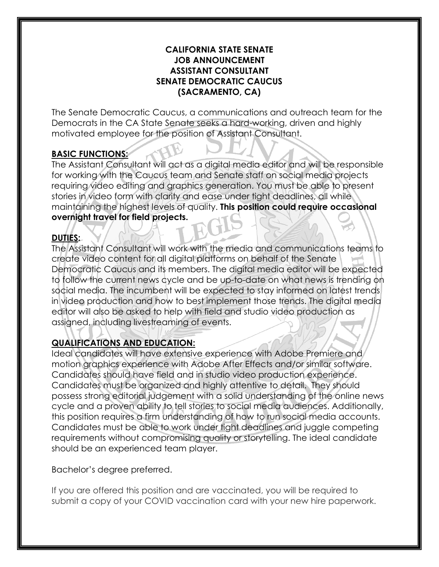#### **CALIFORNIA STATE SENATE JOB ANNOUNCEMENT ASSISTANT CONSULTANT SENATE DEMOCRATIC CAUCUS (SACRAMENTO, CA)**

The Senate Democratic Caucus, a communications and outreach team for the Democrats in the CA State Senate seeks a hard-working, driven and highly motivated employee for the position of Assistant Consultant.

## **BASIC FUNCTIONS:**

The Assistant Consultant will act as a digital media editor and will be responsible for working with the Caucus team and Senate staff on social media projects requiring video editing and graphics generation. You must be able to present stories in video form with clarity and ease under tight deadlines, all while maintaining the highest levels of quality. **This position could require occasional overnight travel for field projects.** 

## **DUTIES:**

The Assistant Consultant will work with the media and communications teams to create video content for all digital platforms on behalf of the Senate Democratic Caucus and its members. The digital media editor will be expected to follow the current news cycle and be up-to-date on what news is trending on social media. The incumbent will be expected to stay informed on latest trends in video production and how to best implement those trends. The digital media editor will also be asked to help with field and studio video production as assigned, including livestreaming of events.

# **QUALIFICATIONS AND EDUCATION:**

Ideal candidates will have extensive experience with Adobe Premiere and motion graphics experience with Adobe After Effects and/or similar software. Candidates should have field and in studio video production experience. Candidates must be organized and highly attentive to detail. They should possess strong editorial judgement with a solid understanding of the online news cycle and a proven ability to tell stories to social media audiences. Additionally, this position requires a firm understanding of how to run social media accounts. Candidates must be able to work under tight deadlines and juggle competing requirements without compromising quality or storytelling. The ideal candidate should be an experienced team player.

Bachelor's degree preferred.

If you are offered this position and are vaccinated, you will be required to submit a copy of your COVID vaccination card with your new hire paperwork.